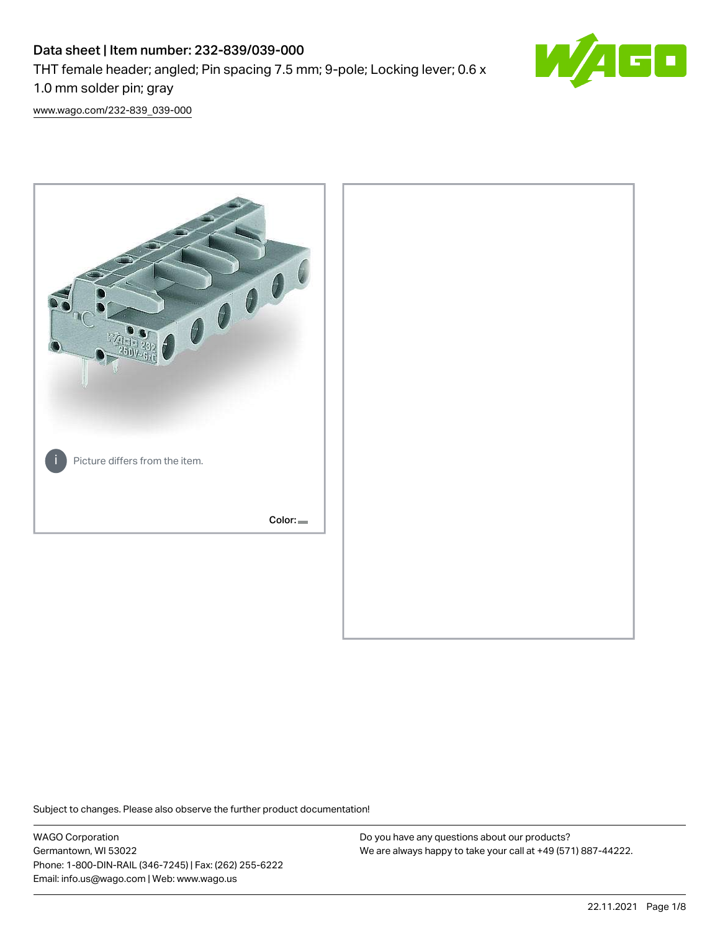# Data sheet | Item number: 232-839/039-000 THT female header; angled; Pin spacing 7.5 mm; 9-pole; Locking lever; 0.6 x 1.0 mm solder pin; gray



[www.wago.com/232-839\\_039-000](http://www.wago.com/232-839_039-000)



Subject to changes. Please also observe the further product documentation!

WAGO Corporation Germantown, WI 53022 Phone: 1-800-DIN-RAIL (346-7245) | Fax: (262) 255-6222 Email: info.us@wago.com | Web: www.wago.us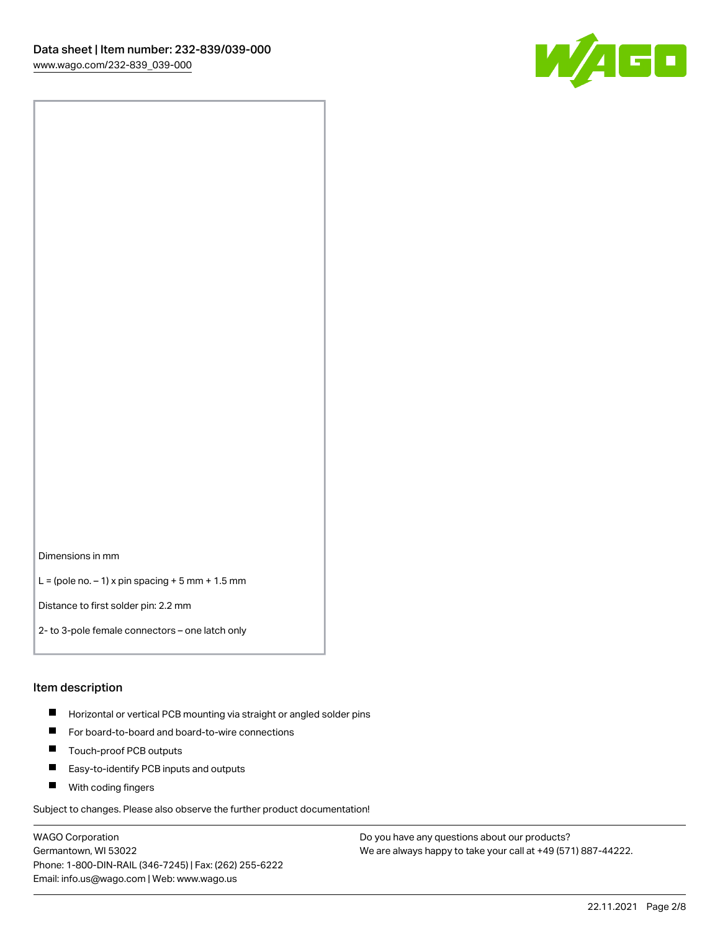

Dimensions in mm

 $L =$  (pole no.  $-1$ ) x pin spacing  $+5$  mm  $+ 1.5$  mm

Distance to first solder pin: 2.2 mm

2- to 3-pole female connectors – one latch only

#### Item description

- **Horizontal or vertical PCB mounting via straight or angled solder pins**
- For board-to-board and board-to-wire connections
- $\blacksquare$ Touch-proof PCB outputs
- $\blacksquare$ Easy-to-identify PCB inputs and outputs
- **Now With coding fingers**

Subject to changes. Please also observe the further product documentation!

WAGO Corporation Germantown, WI 53022 Phone: 1-800-DIN-RAIL (346-7245) | Fax: (262) 255-6222 Email: info.us@wago.com | Web: www.wago.us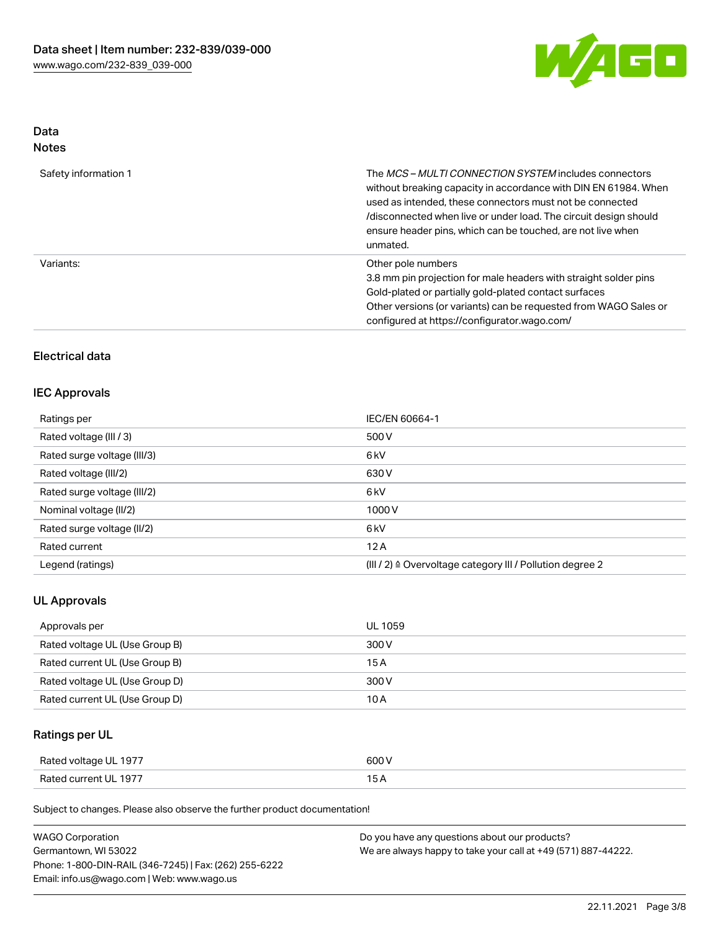

# Data

| Safety information 1 | The <i>MCS – MULTI CONNECTION SYSTEM</i> includes connectors<br>without breaking capacity in accordance with DIN EN 61984. When<br>used as intended, these connectors must not be connected<br>/disconnected when live or under load. The circuit design should<br>ensure header pins, which can be touched, are not live when<br>unmated. |
|----------------------|--------------------------------------------------------------------------------------------------------------------------------------------------------------------------------------------------------------------------------------------------------------------------------------------------------------------------------------------|
| Variants:            | Other pole numbers<br>3.8 mm pin projection for male headers with straight solder pins<br>Gold-plated or partially gold-plated contact surfaces<br>Other versions (or variants) can be requested from WAGO Sales or<br>configured at https://configurator.wago.com/                                                                        |

# Electrical data

## IEC Approvals

| Ratings per                 | IEC/EN 60664-1                                                       |  |
|-----------------------------|----------------------------------------------------------------------|--|
| Rated voltage (III / 3)     | 500 V                                                                |  |
| Rated surge voltage (III/3) | 6 <sub>k</sub> V                                                     |  |
| Rated voltage (III/2)       | 630 V                                                                |  |
| Rated surge voltage (III/2) | 6 <sub>k</sub> V                                                     |  |
| Nominal voltage (II/2)      | 1000V                                                                |  |
| Rated surge voltage (II/2)  | 6 <sub>k</sub> V                                                     |  |
| Rated current               | 12A                                                                  |  |
| Legend (ratings)            | (III / 2) $\triangleq$ Overvoltage category III / Pollution degree 2 |  |

## UL Approvals

| Approvals per                  | UL 1059 |
|--------------------------------|---------|
| Rated voltage UL (Use Group B) | 300 V   |
| Rated current UL (Use Group B) | 15 A    |
| Rated voltage UL (Use Group D) | 300 V   |
| Rated current UL (Use Group D) | 10 A    |

# Ratings per UL

| Rated voltage UL 1977 | 600 V |
|-----------------------|-------|
| Rated current UL 1977 |       |

Subject to changes. Please also observe the further product documentation!

| <b>WAGO Corporation</b>                                | Do you have any questions about our products?                 |
|--------------------------------------------------------|---------------------------------------------------------------|
| Germantown, WI 53022                                   | We are always happy to take your call at +49 (571) 887-44222. |
| Phone: 1-800-DIN-RAIL (346-7245)   Fax: (262) 255-6222 |                                                               |
| Email: info.us@wago.com   Web: www.wago.us             |                                                               |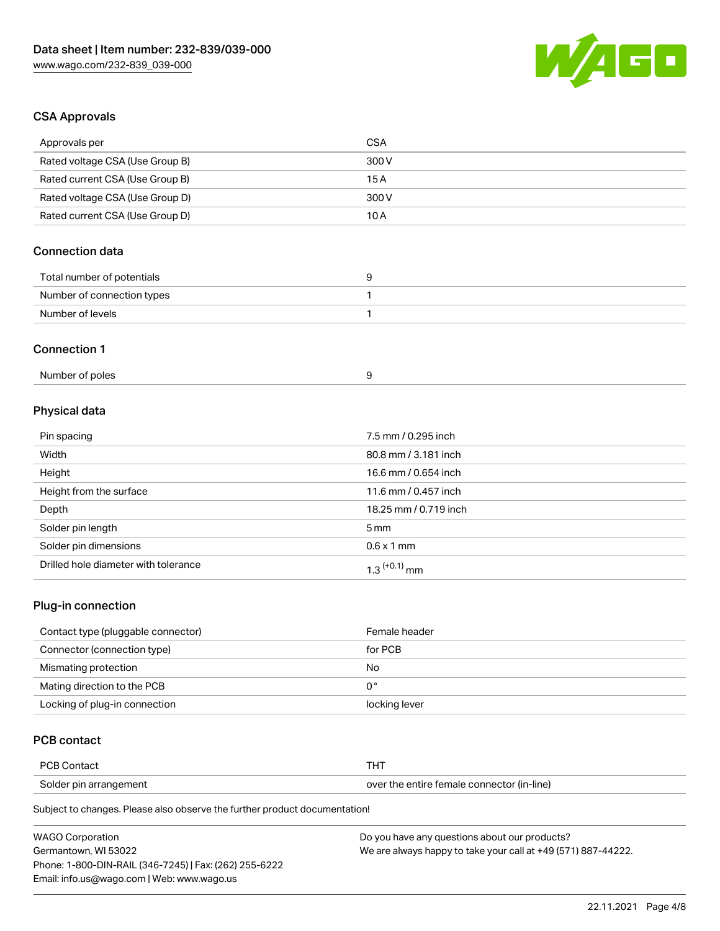

# CSA Approvals

| Approvals per                          | <b>CSA</b>            |  |
|----------------------------------------|-----------------------|--|
| Rated voltage CSA (Use Group B)        | 300V                  |  |
| Rated current CSA (Use Group B)        | 15A                   |  |
| Rated voltage CSA (Use Group D)        | 300V                  |  |
| Rated current CSA (Use Group D)        | 10A                   |  |
| <b>Connection data</b>                 |                       |  |
| Total number of potentials             | 9                     |  |
| Number of connection types             | $\mathbf{1}$          |  |
| Number of levels                       | 1                     |  |
| <b>Connection 1</b><br>Number of poles | 9                     |  |
| Physical data                          |                       |  |
| Pin spacing                            | 7.5 mm / 0.295 inch   |  |
| Width                                  | 80.8 mm / 3.181 inch  |  |
| Height                                 | 16.6 mm / 0.654 inch  |  |
| Height from the surface                | 11.6 mm / 0.457 inch  |  |
| Depth                                  | 18.25 mm / 0.719 inch |  |
| Solder pin length                      | 5 <sub>mm</sub>       |  |
| Solder pin dimensions                  | $0.6 \times 1$ mm     |  |
| Drilled hole diameter with tolerance   | $1.3$ $(+0.1)$ mm     |  |

## Plug-in connection

| Contact type (pluggable connector) | Female header |
|------------------------------------|---------------|
| Connector (connection type)        | for PCB       |
| Mismating protection               | No            |
| Mating direction to the PCB        | 0°            |
| Locking of plug-in connection      | locking lever |

# PCB contact

| <b>PCB Contact</b>     |                                            |
|------------------------|--------------------------------------------|
| Solder pin arrangement | over the entire female connector (in-line) |

Subject to changes. Please also observe the further product documentation!

| <b>WAGO Corporation</b>                                | Do you have any questions about our products?                 |
|--------------------------------------------------------|---------------------------------------------------------------|
| Germantown. WI 53022                                   | We are always happy to take your call at +49 (571) 887-44222. |
| Phone: 1-800-DIN-RAIL (346-7245)   Fax: (262) 255-6222 |                                                               |
| Email: info.us@wago.com   Web: www.wago.us             |                                                               |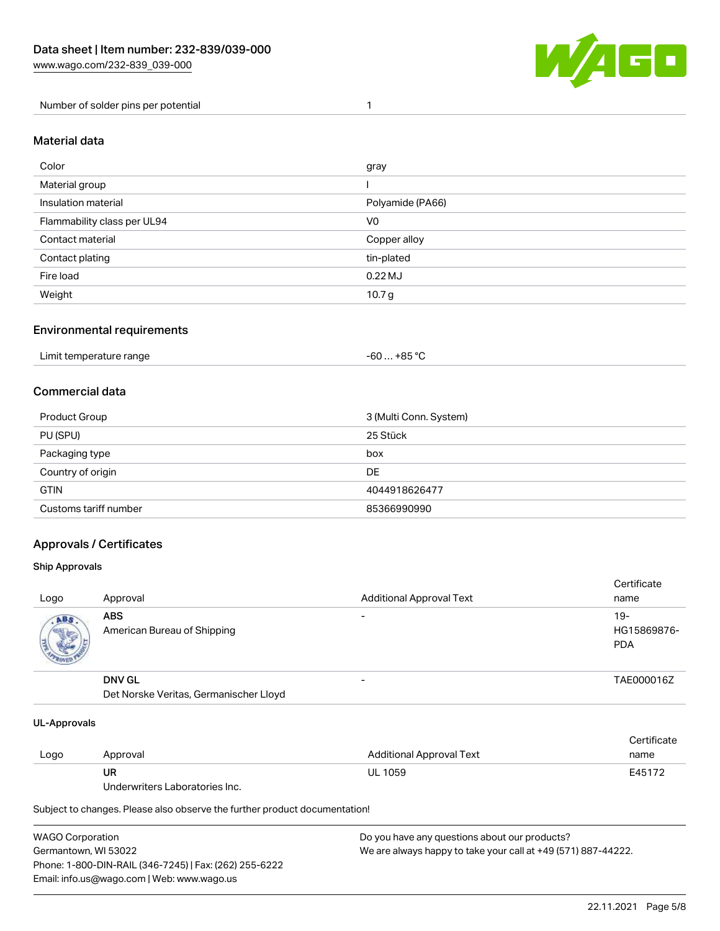

Number of solder pins per potential 1

### Material data

| Color                       | gray              |
|-----------------------------|-------------------|
| Material group              |                   |
| Insulation material         | Polyamide (PA66)  |
| Flammability class per UL94 | V <sub>0</sub>    |
| Contact material            | Copper alloy      |
| Contact plating             | tin-plated        |
| Fire load                   | $0.22$ MJ         |
| Weight                      | 10.7 <sub>g</sub> |

### Environmental requirements

| Limit temperature range | $-60+85 °C$ |  |
|-------------------------|-------------|--|
|-------------------------|-------------|--|

## Commercial data

| Product Group         | 3 (Multi Conn. System) |
|-----------------------|------------------------|
| PU (SPU)              | 25 Stück               |
| Packaging type        | box                    |
| Country of origin     | DE                     |
| <b>GTIN</b>           | 4044918626477          |
| Customs tariff number | 85366990990            |

## Approvals / Certificates

#### Ship Approvals

| Logo | Approval                                                | <b>Additional Approval Text</b> | Certificate<br>name                |
|------|---------------------------------------------------------|---------------------------------|------------------------------------|
| ABS  | <b>ABS</b><br>American Bureau of Shipping               |                                 | $19-$<br>HG15869876-<br><b>PDA</b> |
|      | <b>DNV GL</b><br>Det Norske Veritas, Germanischer Lloyd | $\overline{\phantom{0}}$        | TAE000016Z                         |

#### UL-Approvals

| Logo | Approval                       | Additional Approval Text | Certificate<br>name |
|------|--------------------------------|--------------------------|---------------------|
|      | UR                             | <b>UL 1059</b>           | E45172              |
|      | Underwriters Laboratories Inc. |                          |                     |

Subject to changes. Please also observe the further product documentation!

| <b>WAGO Corporation</b>                                | Do you have any questions about our products?                 |
|--------------------------------------------------------|---------------------------------------------------------------|
| Germantown, WI 53022                                   | We are always happy to take your call at +49 (571) 887-44222. |
| Phone: 1-800-DIN-RAIL (346-7245)   Fax: (262) 255-6222 |                                                               |
| Email: info.us@wago.com   Web: www.wago.us             |                                                               |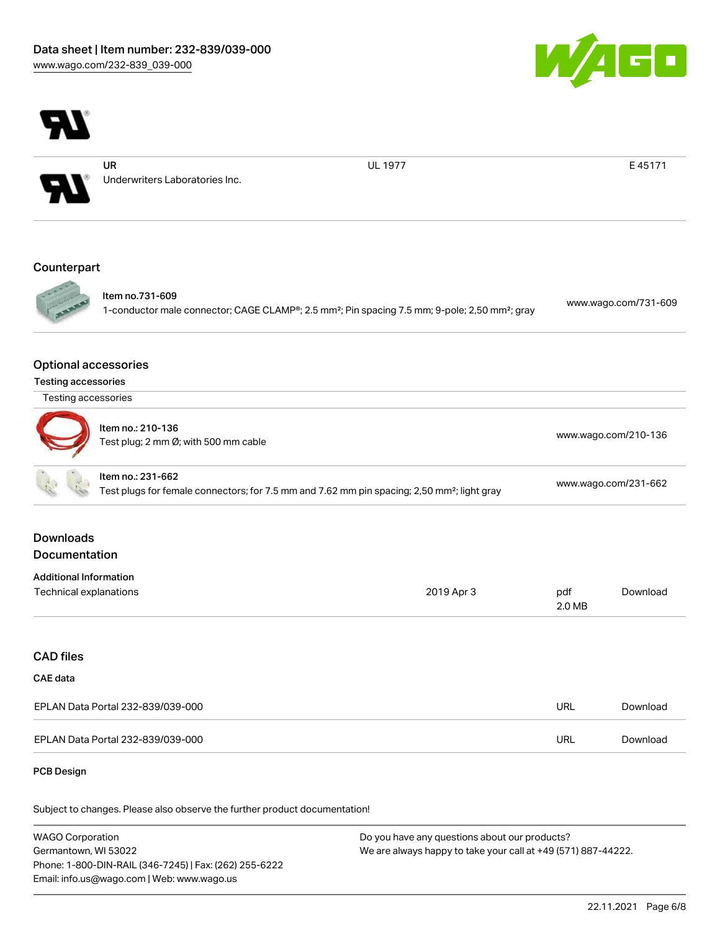

UL 1977 **E 45171** 



| ltem no.: 210-136<br>Test plug; 2 mm Ø; with 500 mm cable                                                                    | www.wago.com/210-136 |
|------------------------------------------------------------------------------------------------------------------------------|----------------------|
| ltem no.: 231-662<br>Test plugs for female connectors; for 7.5 mm and 7.62 mm pin spacing; 2,50 mm <sup>2</sup> ; light gray | www.wago.com/231-662 |

# Downloads Documentation

| <b>Additional Information</b> |            |        |          |
|-------------------------------|------------|--------|----------|
| Technical explanations        | 2019 Apr 3 | pdf    | Download |
|                               |            | 2.0 MB |          |

# CAD files

# CAE data

| EPLAN Data Portal 232-839/039-000 | URL | Download |
|-----------------------------------|-----|----------|
| EPLAN Data Portal 232-839/039-000 | URL | Download |

#### PCB Design

Subject to changes. Please also observe the further product documentation!

WAGO Corporation Germantown, WI 53022 Phone: 1-800-DIN-RAIL (346-7245) | Fax: (262) 255-6222 Email: info.us@wago.com | Web: www.wago.us Do you have any questions about our products? We are always happy to take your call at +49 (571) 887-44222.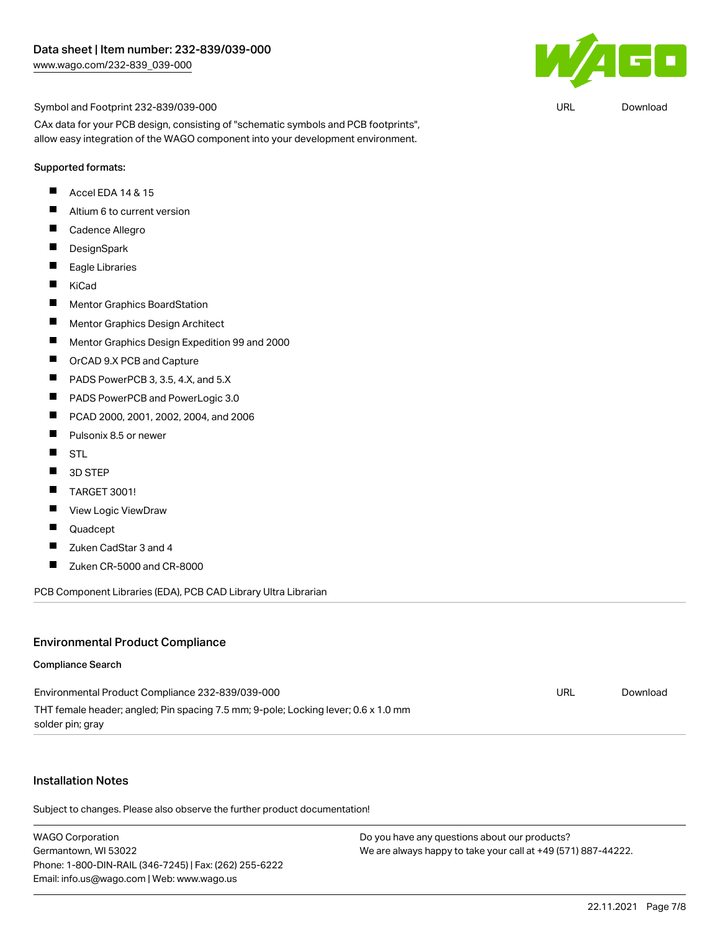

URL [Download](https://www.wago.com/global/d/UltraLibrarian_URLS_232-839_039-000)

Symbol and Footprint 232-839/039-000

CAx data for your PCB design, consisting of "schematic symbols and PCB footprints", allow easy integration of the WAGO component into your development environment.

#### Supported formats:

- П Accel EDA 14 & 15
- $\blacksquare$ Altium 6 to current version
- $\blacksquare$ Cadence Allegro
- $\blacksquare$ **DesignSpark**
- $\blacksquare$ Eagle Libraries
- $\blacksquare$ KiCad
- $\blacksquare$ Mentor Graphics BoardStation
- $\blacksquare$ Mentor Graphics Design Architect
- $\blacksquare$ Mentor Graphics Design Expedition 99 and 2000
- $\blacksquare$ OrCAD 9.X PCB and Capture
- П PADS PowerPCB 3, 3.5, 4.X, and 5.X
- $\blacksquare$ PADS PowerPCB and PowerLogic 3.0
- $\blacksquare$ PCAD 2000, 2001, 2002, 2004, and 2006
- $\blacksquare$ Pulsonix 8.5 or newer
- $\blacksquare$ **STL**
- $\blacksquare$ 3D STEP
- $\blacksquare$ TARGET 3001!
- $\blacksquare$ View Logic ViewDraw
- П Quadcept
- $\blacksquare$ Zuken CadStar 3 and 4
- $\blacksquare$ Zuken CR-5000 and CR-8000

PCB Component Libraries (EDA), PCB CAD Library Ultra Librarian

#### Environmental Product Compliance

#### Compliance Search

| Environmental Product Compliance 232-839/039-000                                   | URL | Download |
|------------------------------------------------------------------------------------|-----|----------|
| THT female header; angled; Pin spacing 7.5 mm; 9-pole; Locking lever; 0.6 x 1.0 mm |     |          |
| solder pin; gray                                                                   |     |          |

#### Installation Notes

Subject to changes. Please also observe the further product documentation!

WAGO Corporation Germantown, WI 53022 Phone: 1-800-DIN-RAIL (346-7245) | Fax: (262) 255-6222 Email: info.us@wago.com | Web: www.wago.us